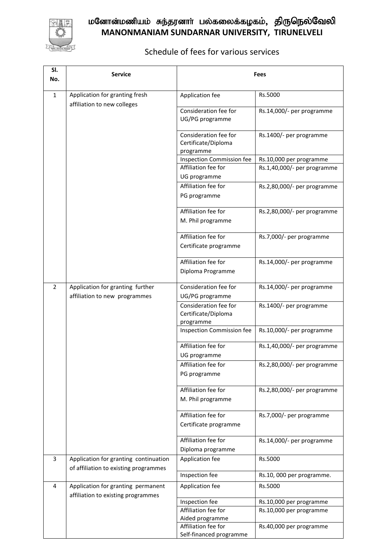

## மனோன்மணியம் சுந்தரனாா் பல்கலைக்கழகம்<mark>, திருநெல்வேலி</mark> **MANONMANIAM SUNDARNAR UNIVERSITY, TIRUNELVELI**

## Schedule of fees for various services

| SI.<br>No. | <b>Service</b>                                                                 | <b>Fees</b>                                    |                             |
|------------|--------------------------------------------------------------------------------|------------------------------------------------|-----------------------------|
| 1          | Application for granting fresh                                                 | Application fee                                | Rs.5000                     |
|            | affiliation to new colleges                                                    | Consideration fee for                          |                             |
|            |                                                                                | UG/PG programme                                | Rs.14,000/- per programme   |
|            |                                                                                | Consideration fee for                          | Rs.1400/- per programme     |
|            |                                                                                | Certificate/Diploma<br>programme               |                             |
|            |                                                                                | <b>Inspection Commission fee</b>               | Rs.10,000 per programme     |
|            |                                                                                | Affiliation fee for                            | Rs.1,40,000/- per programme |
|            |                                                                                | UG programme                                   |                             |
|            |                                                                                | Affiliation fee for                            | Rs.2,80,000/- per programme |
|            |                                                                                | PG programme                                   |                             |
|            |                                                                                | Affiliation fee for                            | Rs.2,80,000/- per programme |
|            |                                                                                | M. Phil programme                              |                             |
|            |                                                                                | Affiliation fee for                            | Rs.7,000/- per programme    |
|            |                                                                                | Certificate programme                          |                             |
|            |                                                                                | Affiliation fee for                            | Rs.14,000/- per programme   |
|            |                                                                                | Diploma Programme                              |                             |
| 2          | Application for granting further                                               | Consideration fee for                          | Rs.14,000/- per programme   |
|            | affiliation to new programmes                                                  | UG/PG programme                                |                             |
|            |                                                                                | Consideration fee for<br>Certificate/Diploma   | Rs.1400/- per programme     |
|            |                                                                                | programme                                      |                             |
|            |                                                                                | Inspection Commission fee                      | Rs.10,000/- per programme   |
|            |                                                                                | Affiliation fee for                            | Rs.1,40,000/- per programme |
|            |                                                                                | UG programme                                   |                             |
|            |                                                                                | Affiliation fee for                            | Rs.2,80,000/- per programme |
|            |                                                                                | PG programme                                   |                             |
|            |                                                                                | Affiliation fee for                            | Rs.2,80,000/- per programme |
|            |                                                                                | M. Phil programme                              |                             |
|            |                                                                                | Affiliation fee for                            | Rs.7,000/- per programme    |
|            |                                                                                | Certificate programme                          |                             |
|            |                                                                                | Affiliation fee for                            | Rs.14,000/- per programme   |
|            |                                                                                | Diploma programme                              |                             |
| 3          | Application for granting continuation<br>of affiliation to existing programmes | Application fee                                | Rs.5000                     |
|            |                                                                                | Inspection fee                                 | Rs.10, 000 per programme.   |
| 4          | Application for granting permanent<br>affiliation to existing programmes       | Application fee                                | Rs.5000                     |
|            |                                                                                | Inspection fee                                 | Rs.10,000 per programme     |
|            |                                                                                | Affiliation fee for                            | Rs.10,000 per programme     |
|            |                                                                                | Aided programme                                |                             |
|            |                                                                                | Affiliation fee for<br>Self-financed programme | Rs.40,000 per programme     |
|            |                                                                                |                                                |                             |